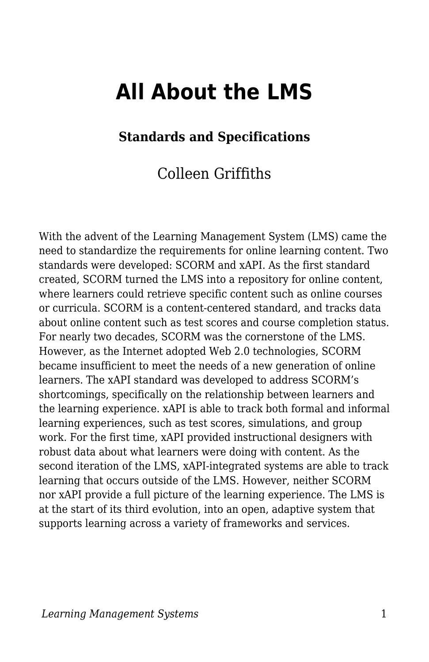# **All About the LMS**

### **Standards and Specifications**

### Colleen Griffiths

With the advent of the Learning Management System (LMS) came the need to standardize the requirements for online learning content. Two standards were developed: SCORM and xAPI. As the first standard created, SCORM turned the LMS into a repository for online content, where learners could retrieve specific content such as online courses or curricula. SCORM is a content-centered standard, and tracks data about online content such as test scores and course completion status. For nearly two decades, SCORM was the cornerstone of the LMS. However, as the Internet adopted Web 2.0 technologies, SCORM became insufficient to meet the needs of a new generation of online learners. The xAPI standard was developed to address SCORM's shortcomings, specifically on the relationship between learners and the learning experience. xAPI is able to track both formal and informal learning experiences, such as test scores, simulations, and group work. For the first time, xAPI provided instructional designers with robust data about what learners were doing with content. As the second iteration of the LMS, xAPI-integrated systems are able to track learning that occurs outside of the LMS. However, neither SCORM nor xAPI provide a full picture of the learning experience. The LMS is at the start of its third evolution, into an open, adaptive system that supports learning across a variety of frameworks and services.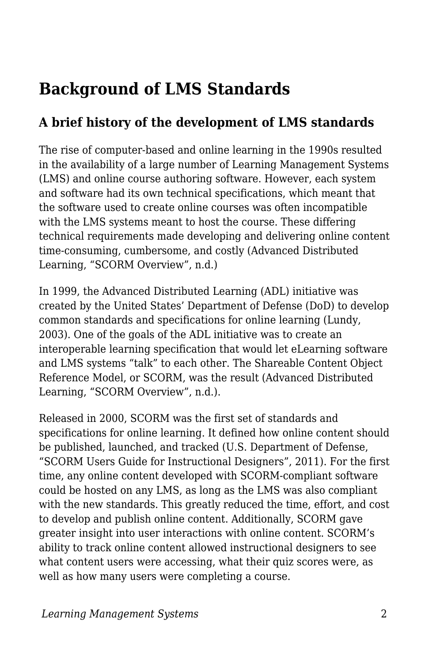## **Background of LMS Standards**

## **A brief history of the development of LMS standards**

The rise of computer-based and online learning in the 1990s resulted in the availability of a large number of Learning Management Systems (LMS) and online course authoring software. However, each system and software had its own technical specifications, which meant that the software used to create online courses was often incompatible with the LMS systems meant to host the course. These differing technical requirements made developing and delivering online content time-consuming, cumbersome, and costly (Advanced Distributed Learning, "SCORM Overview", n.d.)

In 1999, the Advanced Distributed Learning (ADL) initiative was created by the United States' Department of Defense (DoD) to develop common standards and specifications for online learning (Lundy, 2003). One of the goals of the ADL initiative was to create an interoperable learning specification that would let eLearning software and LMS systems "talk" to each other. The Shareable Content Object Reference Model, or SCORM, was the result (Advanced Distributed Learning, "SCORM Overview", n.d.).

Released in 2000, SCORM was the first set of standards and specifications for online learning. It defined how online content should be published, launched, and tracked (U.S. Department of Defense, "SCORM Users Guide for Instructional Designers", 2011). For the first time, any online content developed with SCORM-compliant software could be hosted on any LMS, as long as the LMS was also compliant with the new standards. This greatly reduced the time, effort, and cost to develop and publish online content. Additionally, SCORM gave greater insight into user interactions with online content. SCORM's ability to track online content allowed instructional designers to see what content users were accessing, what their quiz scores were, as well as how many users were completing a course.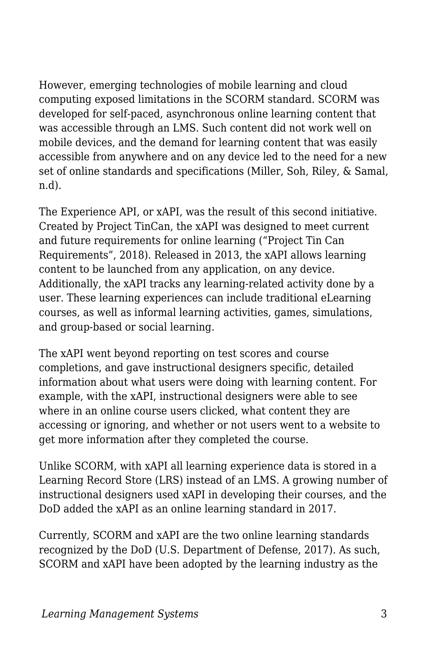However, emerging technologies of mobile learning and cloud computing exposed limitations in the SCORM standard. SCORM was developed for self-paced, asynchronous online learning content that was accessible through an LMS. Such content did not work well on mobile devices, and the demand for learning content that was easily accessible from anywhere and on any device led to the need for a new set of online standards and specifications (Miller, Soh, Riley, & Samal, n.d).

The Experience API, or xAPI, was the result of this second initiative. Created by Project TinCan, the xAPI was designed to meet current and future requirements for online learning ("Project Tin Can Requirements", 2018). Released in 2013, the xAPI allows learning content to be launched from any application, on any device. Additionally, the xAPI tracks any learning-related activity done by a user. These learning experiences can include traditional eLearning courses, as well as informal learning activities, games, simulations, and group-based or social learning.

The xAPI went beyond reporting on test scores and course completions, and gave instructional designers specific, detailed information about what users were doing with learning content. For example, with the xAPI, instructional designers were able to see where in an online course users clicked, what content they are accessing or ignoring, and whether or not users went to a website to get more information after they completed the course.

Unlike SCORM, with xAPI all learning experience data is stored in a Learning Record Store (LRS) instead of an LMS. A growing number of instructional designers used xAPI in developing their courses, and the DoD added the xAPI as an online learning standard in 2017.

Currently, SCORM and xAPI are the two online learning standards recognized by the DoD (U.S. Department of Defense, 2017). As such, SCORM and xAPI have been adopted by the learning industry as the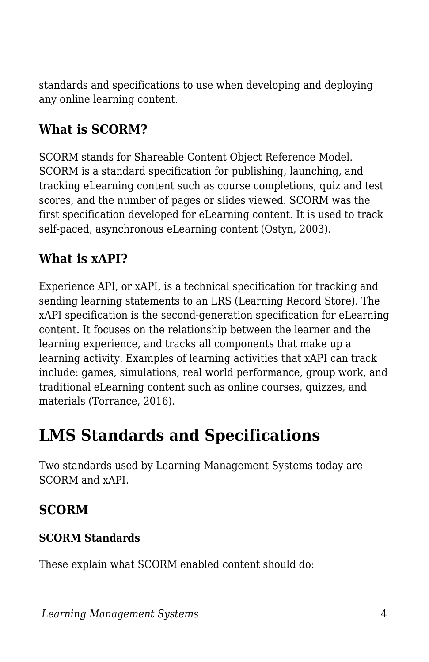standards and specifications to use when developing and deploying any online learning content.

## **What is SCORM?**

SCORM stands for Shareable Content Object Reference Model. SCORM is a standard specification for publishing, launching, and tracking eLearning content such as course completions, quiz and test scores, and the number of pages or slides viewed. SCORM was the first specification developed for eLearning content. It is used to track self-paced, asynchronous eLearning content (Ostyn, 2003).

## **What is xAPI?**

Experience API, or xAPI, is a technical specification for tracking and sending learning statements to an LRS (Learning Record Store). The xAPI specification is the second-generation specification for eLearning content. It focuses on the relationship between the learner and the learning experience, and tracks all components that make up a learning activity. Examples of learning activities that xAPI can track include: games, simulations, real world performance, group work, and traditional eLearning content such as online courses, quizzes, and materials (Torrance, 2016).

## **LMS Standards and Specifications**

Two standards used by Learning Management Systems today are SCORM and xAPI.

### **SCORM**

#### **SCORM Standards**

These explain what SCORM enabled content should do: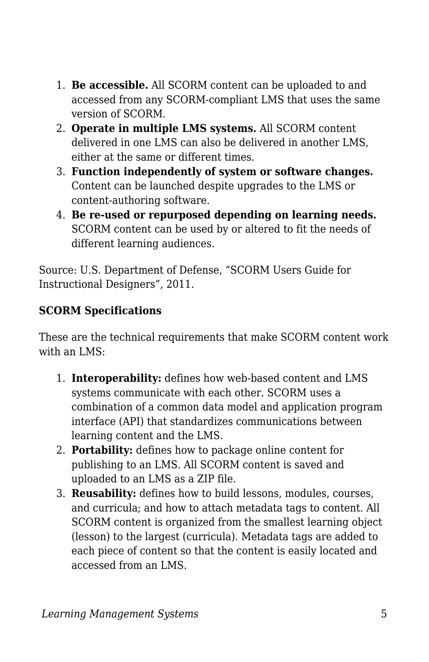- 1. **Be accessible.** All SCORM content can be uploaded to and accessed from any SCORM-compliant LMS that uses the same version of SCORM.
- 2. **Operate in multiple LMS systems.** All SCORM content delivered in one LMS can also be delivered in another LMS, either at the same or different times.
- 3. **Function independently of system or software changes.** Content can be launched despite upgrades to the LMS or content-authoring software.
- 4. **Be re-used or repurposed depending on learning needs.** SCORM content can be used by or altered to fit the needs of different learning audiences.

Source: U.S. Department of Defense, "SCORM Users Guide for Instructional Designers", 2011.

#### **SCORM Specifications**

These are the technical requirements that make SCORM content work with an LMS:

- 1. **Interoperability:** defines how web-based content and LMS systems communicate with each other. SCORM uses a combination of a common data model and application program interface (API) that standardizes communications between learning content and the LMS.
- 2. **Portability:** defines how to package online content for publishing to an LMS. All SCORM content is saved and uploaded to an LMS as a ZIP file.
- 3. **Reusability:** defines how to build lessons, modules, courses, and curricula; and how to attach metadata tags to content. All SCORM content is organized from the smallest learning object (lesson) to the largest (curricula). Metadata tags are added to each piece of content so that the content is easily located and accessed from an LMS.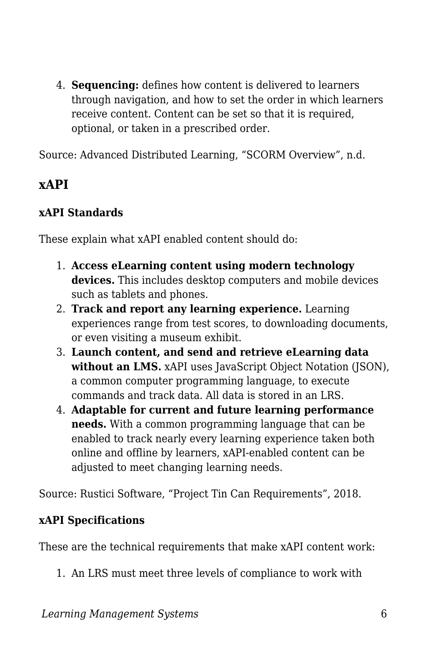4. **Sequencing:** defines how content is delivered to learners through navigation, and how to set the order in which learners receive content. Content can be set so that it is required, optional, or taken in a prescribed order.

Source: Advanced Distributed Learning, "SCORM Overview", n.d.

### **xAPI**

#### **xAPI Standards**

These explain what xAPI enabled content should do:

- 1. **Access eLearning content using modern technology devices.** This includes desktop computers and mobile devices such as tablets and phones.
- 2. **Track and report any learning experience.** Learning experiences range from test scores, to downloading documents, or even visiting a museum exhibit.
- 3. **Launch content, and send and retrieve eLearning data** without an LMS. xAPI uses JavaScript Object Notation (JSON), a common computer programming language, to execute commands and track data. All data is stored in an LRS.
- 4. **Adaptable for current and future learning performance needs.** With a common programming language that can be enabled to track nearly every learning experience taken both online and offline by learners, xAPI-enabled content can be adjusted to meet changing learning needs.

Source: Rustici Software, "Project Tin Can Requirements", 2018.

#### **xAPI Specifications**

These are the technical requirements that make xAPI content work:

1. An LRS must meet three levels of compliance to work with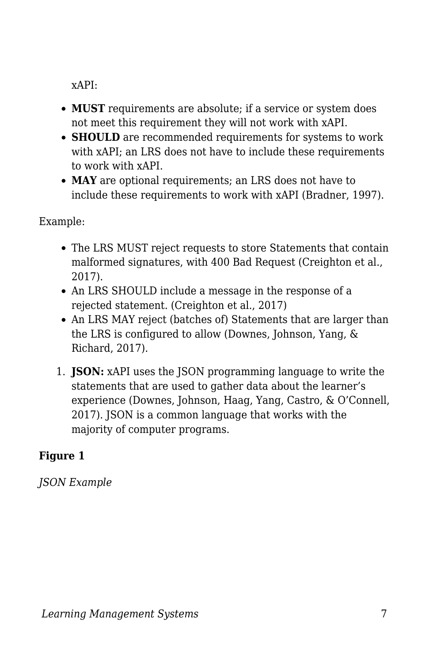xAPI:

- **MUST** requirements are absolute; if a service or system does not meet this requirement they will not work with xAPI.
- **SHOULD** are recommended requirements for systems to work with xAPI; an LRS does not have to include these requirements to work with xAPI.
- **MAY** are optional requirements; an LRS does not have to include these requirements to work with xAPI (Bradner, 1997).

Example:

- The LRS MUST reject requests to store Statements that contain malformed signatures, with 400 Bad Request (Creighton et al., 2017).
- An LRS SHOULD include a message in the response of a rejected statement. (Creighton et al., 2017)
- An LRS MAY reject (batches of) Statements that are larger than the LRS is configured to allow (Downes, Johnson, Yang, & Richard, 2017).
- 1. **JSON:** xAPI uses the JSON programming language to write the statements that are used to gather data about the learner's experience (Downes, Johnson, Haag, Yang, Castro, & O'Connell, 2017). JSON is a common language that works with the majority of computer programs.

#### **Figure 1**

*JSON Example*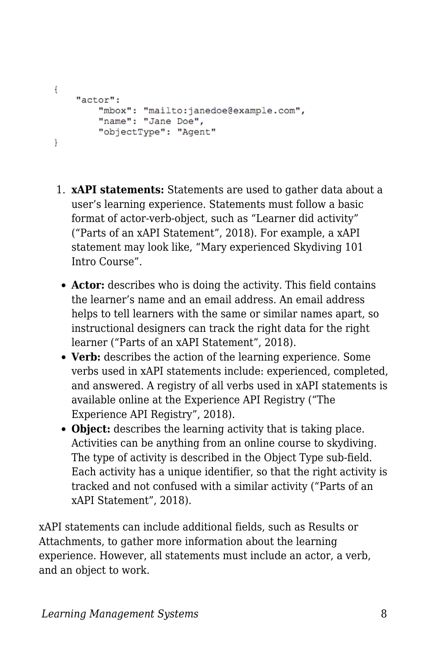```
ŧ
    "actor":
        "mbox": "mailto:janedoe@example.com",
        "name": "Jane Doe",
        "objectType": "Agent"
F
```
- 1. **xAPI statements:** Statements are used to gather data about a user's learning experience. Statements must follow a basic format of actor-verb-object, such as "Learner did activity" ("Parts of an xAPI Statement", 2018). For example, a xAPI statement may look like, "Mary experienced Skydiving 101 Intro Course".
	- **Actor:** describes who is doing the activity. This field contains the learner's name and an email address. An email address helps to tell learners with the same or similar names apart, so instructional designers can track the right data for the right learner ("Parts of an xAPI Statement", 2018).
	- **Verb:** describes the action of the learning experience. Some verbs used in xAPI statements include: experienced, completed, and answered. A registry of all verbs used in xAPI statements is available online at the Experience API Registry ("The Experience API Registry", 2018).
	- **Object:** describes the learning activity that is taking place. Activities can be anything from an online course to skydiving. The type of activity is described in the Object Type sub-field. Each activity has a unique identifier, so that the right activity is tracked and not confused with a similar activity ("Parts of an xAPI Statement", 2018).

xAPI statements can include additional fields, such as Results or Attachments, to gather more information about the learning experience. However, all statements must include an actor, a verb, and an object to work.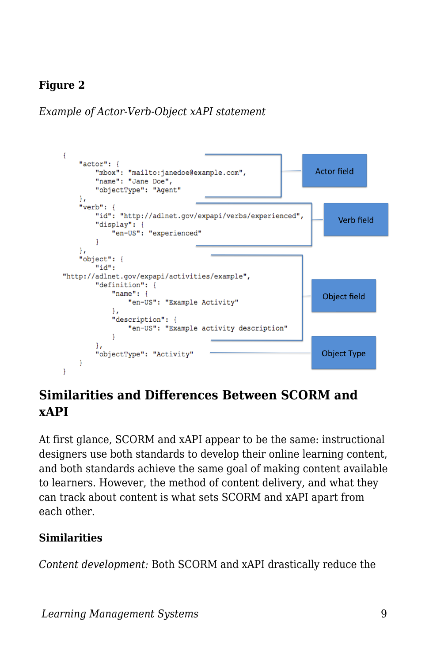#### **Figure 2**

*Example of Actor-Verb-Object xAPI statement*



### **Similarities and Differences Between SCORM and xAPI**

At first glance, SCORM and xAPI appear to be the same: instructional designers use both standards to develop their online learning content, and both standards achieve the same goal of making content available to learners. However, the method of content delivery, and what they can track about content is what sets SCORM and xAPI apart from each other.

#### **Similarities**

*Content development:* Both SCORM and xAPI drastically reduce the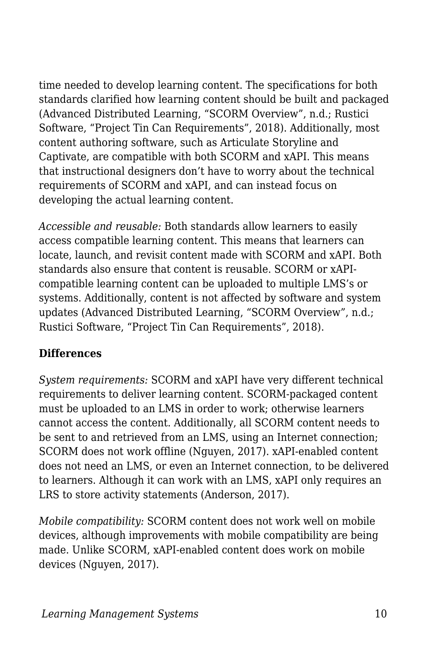time needed to develop learning content. The specifications for both standards clarified how learning content should be built and packaged (Advanced Distributed Learning, "SCORM Overview", n.d.; Rustici Software, "Project Tin Can Requirements", 2018). Additionally, most content authoring software, such as Articulate Storyline and Captivate, are compatible with both SCORM and xAPI. This means that instructional designers don't have to worry about the technical requirements of SCORM and xAPI, and can instead focus on developing the actual learning content.

*Accessible and reusable:* Both standards allow learners to easily access compatible learning content. This means that learners can locate, launch, and revisit content made with SCORM and xAPI. Both standards also ensure that content is reusable. SCORM or xAPIcompatible learning content can be uploaded to multiple LMS's or systems. Additionally, content is not affected by software and system updates (Advanced Distributed Learning, "SCORM Overview", n.d.; Rustici Software, "Project Tin Can Requirements", 2018).

#### **Differences**

*System requirements:* SCORM and xAPI have very different technical requirements to deliver learning content. SCORM-packaged content must be uploaded to an LMS in order to work; otherwise learners cannot access the content. Additionally, all SCORM content needs to be sent to and retrieved from an LMS, using an Internet connection; SCORM does not work offline (Nguyen, 2017). xAPI-enabled content does not need an LMS, or even an Internet connection, to be delivered to learners. Although it can work with an LMS, xAPI only requires an LRS to store activity statements (Anderson, 2017).

*Mobile compatibility:* SCORM content does not work well on mobile devices, although improvements with mobile compatibility are being made. Unlike SCORM, xAPI-enabled content does work on mobile devices (Nguyen, 2017).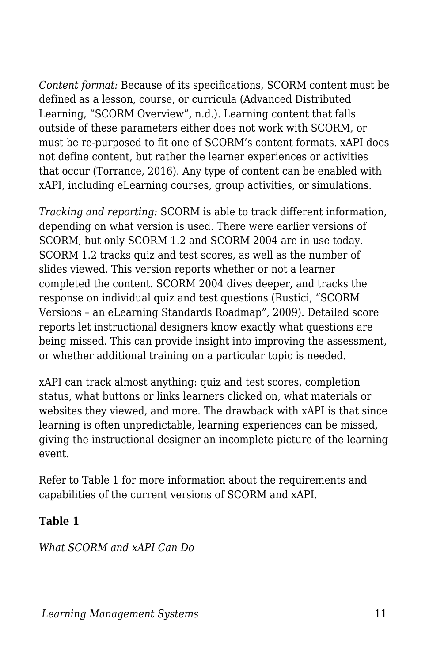*Content format:* Because of its specifications, SCORM content must be defined as a lesson, course, or curricula (Advanced Distributed Learning, "SCORM Overview", n.d.). Learning content that falls outside of these parameters either does not work with SCORM, or must be re-purposed to fit one of SCORM's content formats. xAPI does not define content, but rather the learner experiences or activities that occur (Torrance, 2016). Any type of content can be enabled with xAPI, including eLearning courses, group activities, or simulations.

*Tracking and reporting:* SCORM is able to track different information, depending on what version is used. There were earlier versions of SCORM, but only SCORM 1.2 and SCORM 2004 are in use today. SCORM 1.2 tracks quiz and test scores, as well as the number of slides viewed. This version reports whether or not a learner completed the content. SCORM 2004 dives deeper, and tracks the response on individual quiz and test questions (Rustici, "SCORM Versions – an eLearning Standards Roadmap", 2009). Detailed score reports let instructional designers know exactly what questions are being missed. This can provide insight into improving the assessment, or whether additional training on a particular topic is needed.

xAPI can track almost anything: quiz and test scores, completion status, what buttons or links learners clicked on, what materials or websites they viewed, and more. The drawback with xAPI is that since learning is often unpredictable, learning experiences can be missed, giving the instructional designer an incomplete picture of the learning event.

Refer to Table 1 for more information about the requirements and capabilities of the current versions of SCORM and xAPI.

#### **Table 1**

*What SCORM and xAPI Can Do*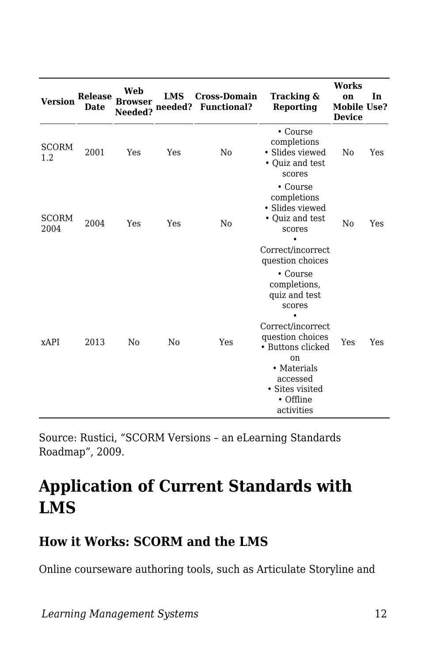| <b>Version</b>       | <b>Release</b><br><b>Date</b> | Web<br><b>Browser</b><br>Needed? | <b>LMS</b><br>needed? | <b>Cross-Domain</b><br><b>Functional?</b> | Tracking &<br>Reporting                                                                                                                                                                                     | <b>Works</b><br>on<br>Mobile Use?<br><b>Device</b> | In  |
|----------------------|-------------------------------|----------------------------------|-----------------------|-------------------------------------------|-------------------------------------------------------------------------------------------------------------------------------------------------------------------------------------------------------------|----------------------------------------------------|-----|
| <b>SCORM</b><br>1.2  | 2001                          | Yes                              | Yes                   | No                                        | • Course<br>completions<br>• Slides viewed<br>• Quiz and test<br>scores                                                                                                                                     | No                                                 | Yes |
| <b>SCORM</b><br>2004 | 2004                          | Yes                              | Yes                   | No                                        | • Course<br>completions<br>• Slides viewed<br>• Quiz and test<br>scores<br>Correct/incorrect<br>question choices                                                                                            | No                                                 | Yes |
| xAPI                 | 2013                          | No                               | N <sub>0</sub>        | Yes                                       | • Course<br>completions,<br>quiz and test<br>scores<br>Correct/incorrect<br>question choices<br>• Buttons clicked<br><sub>on</sub><br>• Materials<br>accessed<br>• Sites visited<br>• Offline<br>activities | Yes                                                | Yes |

Source: Rustici, "SCORM Versions – an eLearning Standards Roadmap", 2009.

## **Application of Current Standards with LMS**

### **How it Works: SCORM and the LMS**

Online courseware authoring tools, such as Articulate Storyline and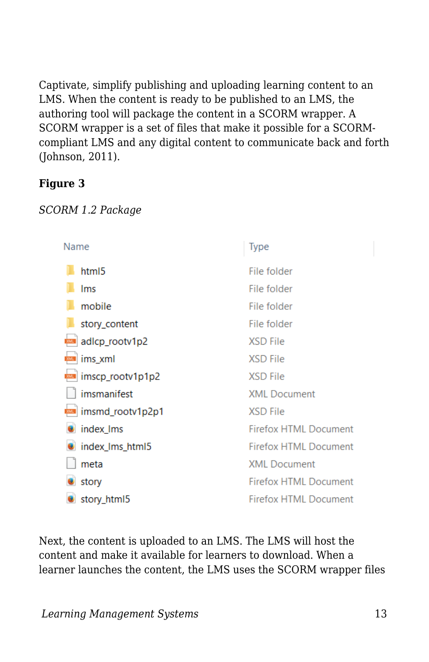Captivate, simplify publishing and uploading learning content to an LMS. When the content is ready to be published to an LMS, the authoring tool will package the content in a SCORM wrapper. A SCORM wrapper is a set of files that make it possible for a SCORMcompliant LMS and any digital content to communicate back and forth (Johnson, 2011).

#### **Figure 3**



| Name             | Type                         |
|------------------|------------------------------|
| html5            | File folder                  |
| Ims              | File folder                  |
| mobile           | File folder                  |
| story_content    | File folder                  |
| adlcp_rootv1p2   | XSD File                     |
| ims_xml          | <b>XSD File</b>              |
| imscp_rootv1p1p2 | <b>XSD File</b>              |
| imsmanifest      | <b>XML</b> Document          |
| imsmd_rootv1p2p1 | <b>XSD File</b>              |
| index Ims        | <b>Firefox HTML Document</b> |
| index_lms_html5  | <b>Firefox HTML Document</b> |
| meta             | <b>XML</b> Document          |
| story            | <b>Firefox HTML Document</b> |
| story_html5      | <b>Firefox HTML Document</b> |

Next, the content is uploaded to an LMS. The LMS will host the content and make it available for learners to download. When a learner launches the content, the LMS uses the SCORM wrapper files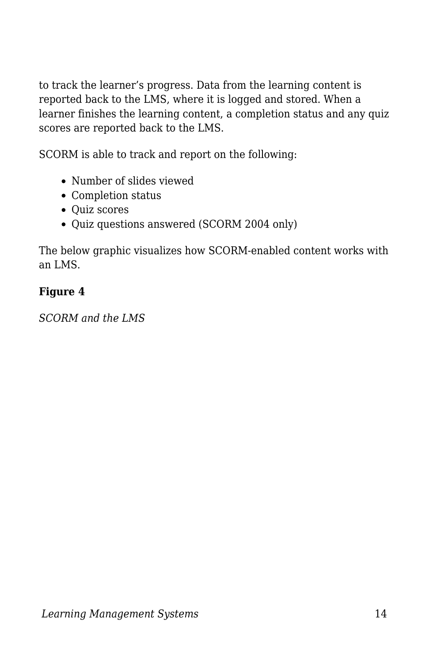to track the learner's progress. Data from the learning content is reported back to the LMS, where it is logged and stored. When a learner finishes the learning content, a completion status and any quiz scores are reported back to the LMS.

SCORM is able to track and report on the following:

- Number of slides viewed
- Completion status
- Quiz scores
- Quiz questions answered (SCORM 2004 only)

The below graphic visualizes how SCORM-enabled content works with an LMS.

#### **Figure 4**

*SCORM and the LMS*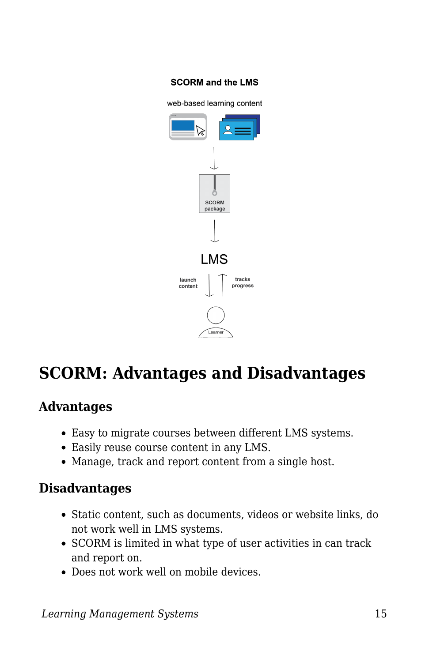#### **SCORM and the LMS**

web-based learning content



## **SCORM: Advantages and Disadvantages**

#### **Advantages**

- Easy to migrate courses between different LMS systems.
- Easily reuse course content in any LMS.
- Manage, track and report content from a single host.

#### **Disadvantages**

- Static content, such as documents, videos or website links, do not work well in LMS systems.
- SCORM is limited in what type of user activities in can track and report on.
- Does not work well on mobile devices.

*Learning Management Systems* 15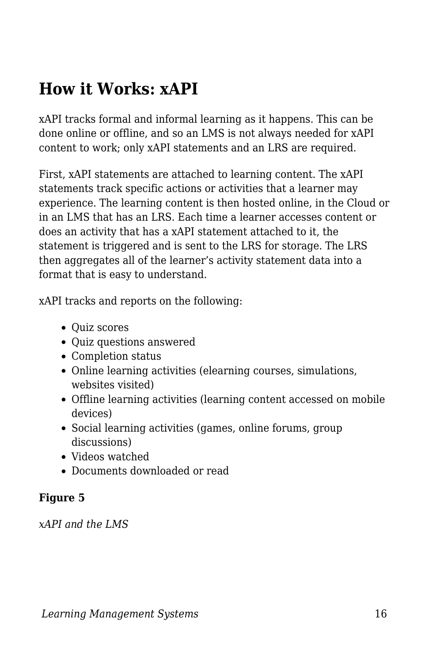## **How it Works: xAPI**

xAPI tracks formal and informal learning as it happens. This can be done online or offline, and so an LMS is not always needed for xAPI content to work; only xAPI statements and an LRS are required.

First, xAPI statements are attached to learning content. The xAPI statements track specific actions or activities that a learner may experience. The learning content is then hosted online, in the Cloud or in an LMS that has an LRS. Each time a learner accesses content or does an activity that has a xAPI statement attached to it, the statement is triggered and is sent to the LRS for storage. The LRS then aggregates all of the learner's activity statement data into a format that is easy to understand.

xAPI tracks and reports on the following:

- Quiz scores
- Quiz questions answered
- Completion status
- Online learning activities (elearning courses, simulations, websites visited)
- Offline learning activities (learning content accessed on mobile devices)
- Social learning activities (games, online forums, group discussions)
- Videos watched
- Documents downloaded or read

#### **Figure 5**

*xAPI and the LMS*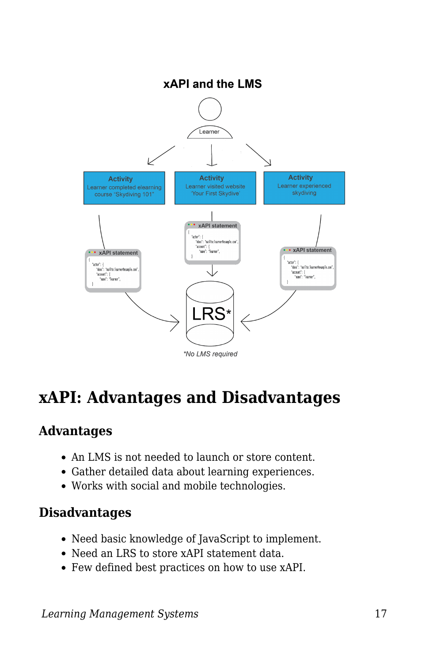

## **xAPI: Advantages and Disadvantages**

#### **Advantages**

- An LMS is not needed to launch or store content.
- Gather detailed data about learning experiences.
- Works with social and mobile technologies.

### **Disadvantages**

- Need basic knowledge of JavaScript to implement.
- Need an LRS to store xAPI statement data.
- Few defined best practices on how to use xAPI.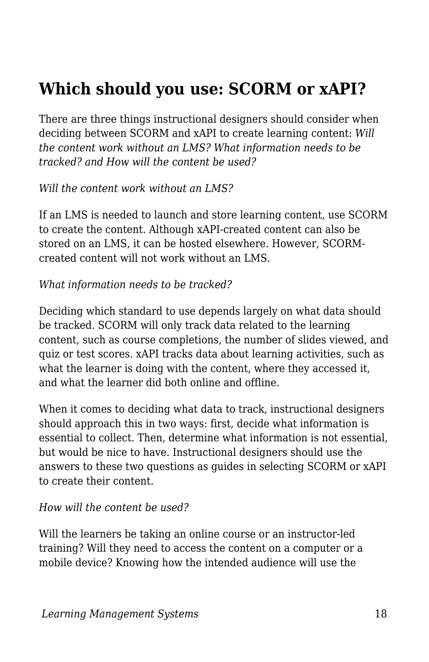## **Which should you use: SCORM or xAPI?**

There are three things instructional designers should consider when deciding between SCORM and xAPI to create learning content: *Will the content work without an LMS? What information needs to be tracked? and How will the content be used?*

*Will the content work without an LMS?*

If an LMS is needed to launch and store learning content, use SCORM to create the content. Although xAPI-created content can also be stored on an LMS, it can be hosted elsewhere. However, SCORMcreated content will not work without an LMS.

*What information needs to be tracked?*

Deciding which standard to use depends largely on what data should be tracked. SCORM will only track data related to the learning content, such as course completions, the number of slides viewed, and quiz or test scores. xAPI tracks data about learning activities, such as what the learner is doing with the content, where they accessed it, and what the learner did both online and offline.

When it comes to deciding what data to track, instructional designers should approach this in two ways: first, decide what information is essential to collect. Then, determine what information is not essential, but would be nice to have. Instructional designers should use the answers to these two questions as guides in selecting SCORM or xAPI to create their content.

#### *How will the content be used?*

Will the learners be taking an online course or an instructor-led training? Will they need to access the content on a computer or a mobile device? Knowing how the intended audience will use the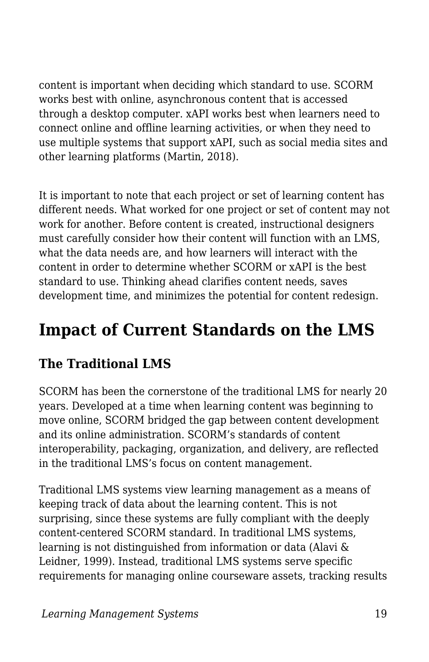content is important when deciding which standard to use. SCORM works best with online, asynchronous content that is accessed through a desktop computer. xAPI works best when learners need to connect online and offline learning activities, or when they need to use multiple systems that support xAPI, such as social media sites and other learning platforms (Martin, 2018).

It is important to note that each project or set of learning content has different needs. What worked for one project or set of content may not work for another. Before content is created, instructional designers must carefully consider how their content will function with an LMS, what the data needs are, and how learners will interact with the content in order to determine whether SCORM or xAPI is the best standard to use. Thinking ahead clarifies content needs, saves development time, and minimizes the potential for content redesign.

## **Impact of Current Standards on the LMS**

## **The Traditional LMS**

SCORM has been the cornerstone of the traditional LMS for nearly 20 years. Developed at a time when learning content was beginning to move online, SCORM bridged the gap between content development and its online administration. SCORM's standards of content interoperability, packaging, organization, and delivery, are reflected in the traditional LMS's focus on content management.

Traditional LMS systems view learning management as a means of keeping track of data about the learning content. This is not surprising, since these systems are fully compliant with the deeply content-centered SCORM standard. In traditional LMS systems, learning is not distinguished from information or data (Alavi & Leidner, 1999). Instead, traditional LMS systems serve specific requirements for managing online courseware assets, tracking results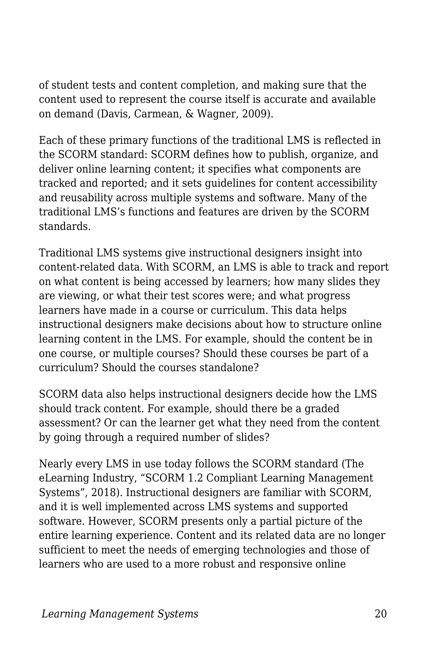of student tests and content completion, and making sure that the content used to represent the course itself is accurate and available on demand (Davis, Carmean, & Wagner, 2009).

Each of these primary functions of the traditional LMS is reflected in the SCORM standard: SCORM defines how to publish, organize, and deliver online learning content; it specifies what components are tracked and reported; and it sets guidelines for content accessibility and reusability across multiple systems and software. Many of the traditional LMS's functions and features are driven by the SCORM standards.

Traditional LMS systems give instructional designers insight into content-related data. With SCORM, an LMS is able to track and report on what content is being accessed by learners; how many slides they are viewing, or what their test scores were; and what progress learners have made in a course or curriculum. This data helps instructional designers make decisions about how to structure online learning content in the LMS. For example, should the content be in one course, or multiple courses? Should these courses be part of a curriculum? Should the courses standalone?

SCORM data also helps instructional designers decide how the LMS should track content. For example, should there be a graded assessment? Or can the learner get what they need from the content by going through a required number of slides?

Nearly every LMS in use today follows the SCORM standard (The eLearning Industry, "SCORM 1.2 Compliant Learning Management Systems", 2018). Instructional designers are familiar with SCORM, and it is well implemented across LMS systems and supported software. However, SCORM presents only a partial picture of the entire learning experience. Content and its related data are no longer sufficient to meet the needs of emerging technologies and those of learners who are used to a more robust and responsive online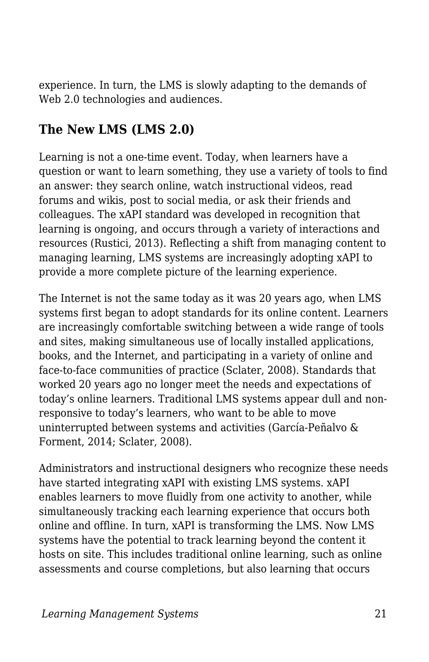experience. In turn, the LMS is slowly adapting to the demands of Web 2.0 technologies and audiences.

### **The New LMS (LMS 2.0)**

Learning is not a one-time event. Today, when learners have a question or want to learn something, they use a variety of tools to find an answer: they search online, watch instructional videos, read forums and wikis, post to social media, or ask their friends and colleagues. The xAPI standard was developed in recognition that learning is ongoing, and occurs through a variety of interactions and resources (Rustici, 2013). Reflecting a shift from managing content to managing learning, LMS systems are increasingly adopting xAPI to provide a more complete picture of the learning experience.

The Internet is not the same today as it was 20 years ago, when LMS systems first began to adopt standards for its online content. Learners are increasingly comfortable switching between a wide range of tools and sites, making simultaneous use of locally installed applications, books, and the Internet, and participating in a variety of online and face-to-face communities of practice (Sclater, 2008). Standards that worked 20 years ago no longer meet the needs and expectations of today's online learners. Traditional LMS systems appear dull and nonresponsive to today's learners, who want to be able to move uninterrupted between systems and activities (García-Peñalvo & Forment, 2014; Sclater, 2008).

Administrators and instructional designers who recognize these needs have started integrating xAPI with existing LMS systems. xAPI enables learners to move fluidly from one activity to another, while simultaneously tracking each learning experience that occurs both online and offline. In turn, xAPI is transforming the LMS. Now LMS systems have the potential to track learning beyond the content it hosts on site. This includes traditional online learning, such as online assessments and course completions, but also learning that occurs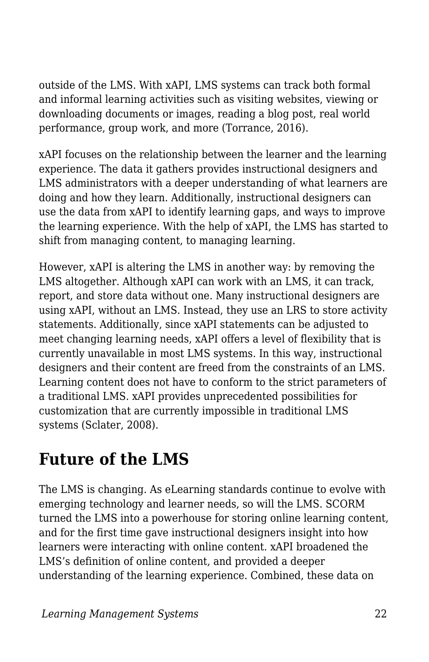outside of the LMS. With xAPI, LMS systems can track both formal and informal learning activities such as visiting websites, viewing or downloading documents or images, reading a blog post, real world performance, group work, and more (Torrance, 2016).

xAPI focuses on the relationship between the learner and the learning experience. The data it gathers provides instructional designers and LMS administrators with a deeper understanding of what learners are doing and how they learn. Additionally, instructional designers can use the data from xAPI to identify learning gaps, and ways to improve the learning experience. With the help of xAPI, the LMS has started to shift from managing content, to managing learning.

However, xAPI is altering the LMS in another way: by removing the LMS altogether. Although xAPI can work with an LMS, it can track, report, and store data without one. Many instructional designers are using xAPI, without an LMS. Instead, they use an LRS to store activity statements. Additionally, since xAPI statements can be adjusted to meet changing learning needs, xAPI offers a level of flexibility that is currently unavailable in most LMS systems. In this way, instructional designers and their content are freed from the constraints of an LMS. Learning content does not have to conform to the strict parameters of a traditional LMS. xAPI provides unprecedented possibilities for customization that are currently impossible in traditional LMS systems (Sclater, 2008).

## **Future of the LMS**

The LMS is changing. As eLearning standards continue to evolve with emerging technology and learner needs, so will the LMS. SCORM turned the LMS into a powerhouse for storing online learning content, and for the first time gave instructional designers insight into how learners were interacting with online content. xAPI broadened the LMS's definition of online content, and provided a deeper understanding of the learning experience. Combined, these data on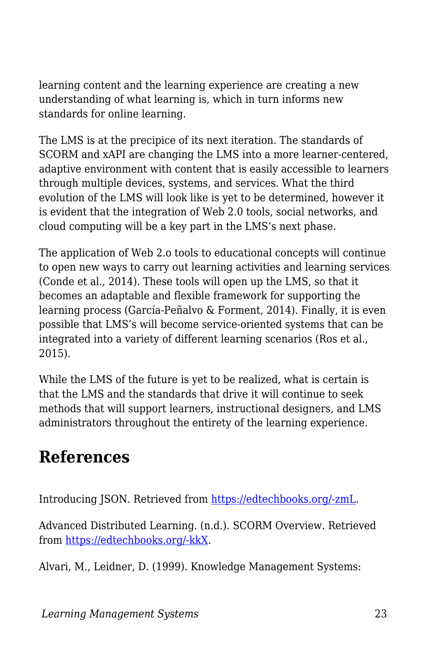learning content and the learning experience are creating a new understanding of what learning is, which in turn informs new standards for online learning.

The LMS is at the precipice of its next iteration. The standards of SCORM and xAPI are changing the LMS into a more learner-centered, adaptive environment with content that is easily accessible to learners through multiple devices, systems, and services. What the third evolution of the LMS will look like is yet to be determined, however it is evident that the integration of Web 2.0 tools, social networks, and cloud computing will be a key part in the LMS's next phase.

The application of Web 2.o tools to educational concepts will continue to open new ways to carry out learning activities and learning services (Conde et al., 2014). These tools will open up the LMS, so that it becomes an adaptable and flexible framework for supporting the learning process (García-Peñalvo & Forment, 2014). Finally, it is even possible that LMS's will become service-oriented systems that can be integrated into a variety of different learning scenarios (Ros et al., 2015).

While the LMS of the future is yet to be realized, what is certain is that the LMS and the standards that drive it will continue to seek methods that will support learners, instructional designers, and LMS administrators throughout the entirety of the learning experience.

## **References**

Introducing JSON. Retrieved from [https://edtechbooks.org/-zmL.](https://www.google.com/url?q=https://www.json.org&sa=D&ust=1585947361016000)

Advanced Distributed Learning. (n.d.). SCORM Overview. Retrieved from [https://edtechbooks.org/-kkX](https://www.google.com/url?q=http://adlnet.gov/scorm&sa=D&ust=1585947361016000).

Alvari, M., Leidner, D. (1999). Knowledge Management Systems: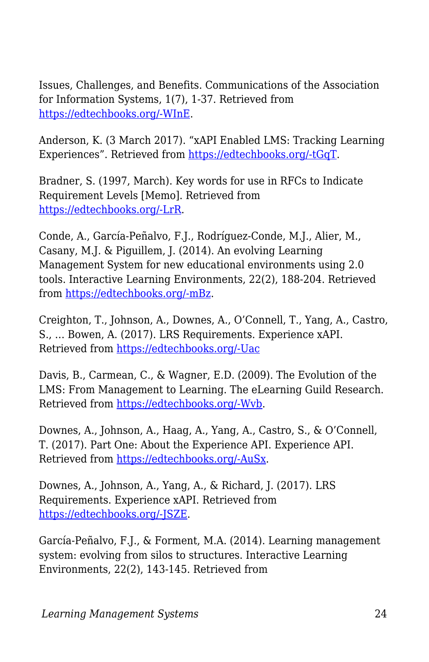Issues, Challenges, and Benefits. Communications of the Association for Information Systems, 1(7), 1-37. Retrieved from [https://edtechbooks.org/-WInE.](https://www.google.com/url?q=http://aisel.aisnet.org/cgi/viewcontent.cgi?article%3D2486%26context%3Dcais&sa=D&ust=1585947361017000)

Anderson, K. (3 March 2017). "xAPI Enabled LMS: Tracking Learning Experiences". Retrieved from [https://edtechbooks.org/-tGqT.](https://www.google.com/url?q=https://elearningindustry.com/xapi-enabled-lms-tracking-elearning-experiences&sa=D&ust=1585947361017000)

Bradner, S. (1997, March). Key words for use in RFCs to Indicate Requirement Levels [Memo]. Retrieved from [https://edtechbooks.org/-LrR](https://www.google.com/url?q=https://www.ietf.org/rfc/rfc2119.txt&sa=D&ust=1585947361018000).

Conde, A., García-Peñalvo, F.J., Rodríguez-Conde, M.J., Alier, M., Casany, M.J. & Piguillem, J. (2014). An evolving Learning Management System for new educational environments using 2.0 tools. Interactive Learning Environments, 22(2), 188-204. Retrieved from [https://edtechbooks.org/-mBz.](https://www.google.com/url?q=https://www.tandfonline.com/doi/abs/10.1080/10494820.2012.745433&sa=D&ust=1585947361019000)

Creighton, T., Johnson, A., Downes, A., O'Connell, T., Yang, A., Castro, S., … Bowen, A. (2017). LRS Requirements. Experience xAPI. Retrieved from [https://edtechbooks.org/-Uac](https://www.google.com/url?q=https://github.com/adlnet/xAPI-Spec/blob/master/xAPI-Data.md&sa=D&ust=1585947361020000)

Davis, B., Carmean, C., & Wagner, E.D. (2009). The Evolution of the LMS: From Management to Learning. The eLearning Guild Research. Retrieved from [https://edtechbooks.org/-Wvb](https://www.google.com/url?q=https://www.blackboard.com/resources/proed/guild-lmsreport.pdf&sa=D&ust=1585947361020000).

Downes, A., Johnson, A., Haag, A., Yang, A., Castro, S., & O'Connell, T. (2017). Part One: About the Experience API. Experience API. Retrieved from [https://edtechbooks.org/-AuSx.](https://www.google.com/url?q=https://github.com/adlnet/xAPI-Spec/blob/master/xAPI-About.md%23partone&sa=D&ust=1585947361021000)

Downes, A., Johnson, A., Yang, A., & Richard, J. (2017). LRS Requirements. Experience xAPI. Retrieved from [https://edtechbooks.org/-JSZE.](https://www.google.com/url?q=https://github.com/adlnet/xAPI-Spec/blob/master/xAPI-Communication.md&sa=D&ust=1585947361022000)

García-Peñalvo, F.J., & Forment, M.A. (2014). Learning management system: evolving from silos to structures. Interactive Learning Environments, 22(2), 143-145. Retrieved from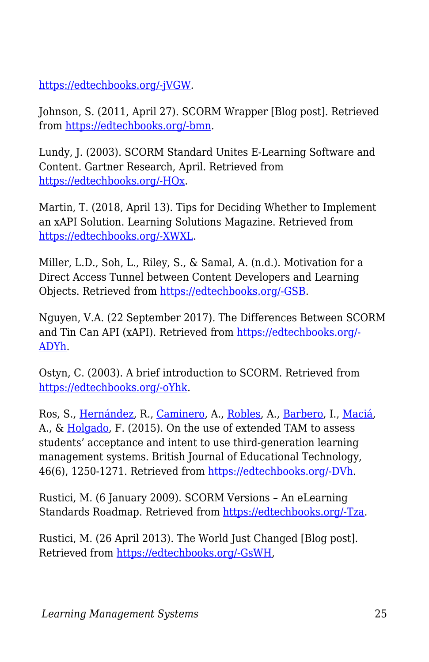[https://edtechbooks.org/-jVGW](https://www.google.com/url?q=https://www.tandfonline.com/doi/abs/10.1080/10494820.2014.884790?journalCode%3Dnile20&sa=D&ust=1585947361022000).

Johnson, S. (2011, April 27). SCORM Wrapper [Blog post]. Retrieved from [https://edtechbooks.org/-bmn.](https://www.google.com/url?q=https://elearning.net/scorm-wrapper-2&sa=D&ust=1585947361023000)

Lundy, J. (2003). SCORM Standard Unites E-Learning Software and Content. Gartner Research, April. Retrieved from [https://edtechbooks.org/-HQx.](https://www.google.com/url?q=http://www.bus.umich.edu/KresgePublic/Journals/Gartner/research/114200/114233/114233.html&sa=D&ust=1585947361024000)

Martin, T. (2018, April 13). Tips for Deciding Whether to Implement an xAPI Solution. Learning Solutions Magazine. Retrieved from [https://edtechbooks.org/-XWXL](https://www.google.com/url?q=https://www.learningsolutionsmag.com/articles/tips-for-deciding-whether-to-implement-an-xapi-solution&sa=D&ust=1585947361025000).

Miller, L.D., Soh, L., Riley, S., & Samal, A. (n.d.). Motivation for a Direct Access Tunnel between Content Developers and Learning Objects. Retrieved from [https://edtechbooks.org/-GSB](https://www.google.com/url?q=https://scorm.com/wp-content/assets/LETSI-white-papers/LETSI%2520White%2520Papers%2520-%2520Miller%2520-%2520Motivation%2520for%2520Direct%2520Access.pdf&sa=D&ust=1585947361026000).

Nguyen, V.A. (22 September 2017). The Differences Between SCORM and Tin Can API (xAPI). Retrieved from [https://edtechbooks.org/-](https://www.google.com/url?q=https://atomisystems.com/elearning/differences-between-scorm-tin-can-api-xapi/&sa=D&ust=1585947361026000) [ADYh](https://www.google.com/url?q=https://atomisystems.com/elearning/differences-between-scorm-tin-can-api-xapi/&sa=D&ust=1585947361026000).

Ostyn, C. (2003). A brief introduction to SCORM. Retrieved from [https://edtechbooks.org/-oYhk](https://www.google.com/url?q=https://scorm.com/wp-content/assets/cookbook/SCORM%25201_2%2520Overview.htm&sa=D&ust=1585947361027000).

Ros, S., [Hernández,](https://www.google.com/url?q=https://onlinelibrary.wiley.com/action/doSearch?ContribAuthorStored%3DHern%25C3%25A1ndez%252C%2BRoberto&sa=D&ust=1585947361027000) R., [Caminero](https://www.google.com/url?q=https://onlinelibrary.wiley.com/action/doSearch?ContribAuthorStored%3DCaminero%252C%2BAgust%25C3%25ADn&sa=D&ust=1585947361028000), A., [Robles,](https://www.google.com/url?q=https://onlinelibrary.wiley.com/action/doSearch?ContribAuthorStored%3DRobles%252C%2BAntonio&sa=D&ust=1585947361028000) A., [Barbero](https://www.google.com/url?q=https://onlinelibrary.wiley.com/action/doSearch?ContribAuthorStored%3DBarbero%252C%2BIsabel&sa=D&ust=1585947361028000), I., [Maciá](https://www.google.com/url?q=https://onlinelibrary.wiley.com/action/doSearch?ContribAuthorStored%3DMaci%25C3%25A1%252C%2BAraceli&sa=D&ust=1585947361029000), A., & [Holgado](https://www.google.com/url?q=https://onlinelibrary.wiley.com/action/doSearch?ContribAuthorStored%3DHolgado%252C%2BFrancisco%2BPablo&sa=D&ust=1585947361029000), F. (2015). On the use of extended TAM to assess students' acceptance and intent to use third-generation learning management systems. British Journal of Educational Technology, 46(6), 1250-1271. Retrieved from [https://edtechbooks.org/-DVh.](https://www.google.com/url?q=https://onlinelibrary.wiley.com/doi/abs/10.1111/bjet.12199&sa=D&ust=1585947361029000)

Rustici, M. (6 January 2009). SCORM Versions – An eLearning Standards Roadmap. Retrieved from [https://edtechbooks.org/-Tza](https://www.google.com/url?q=https://scorm.com/scorm-explained/business-of-scorm/scorm-versions/&sa=D&ust=1585947361030000).

Rustici, M. (26 April 2013). The World Just Changed [Blog post]. Retrieved from [https://edtechbooks.org/-GsWH,](https://www.google.com/url?q=https://scorm.com/blog/the-world-just-changed/&sa=D&ust=1585947361030000)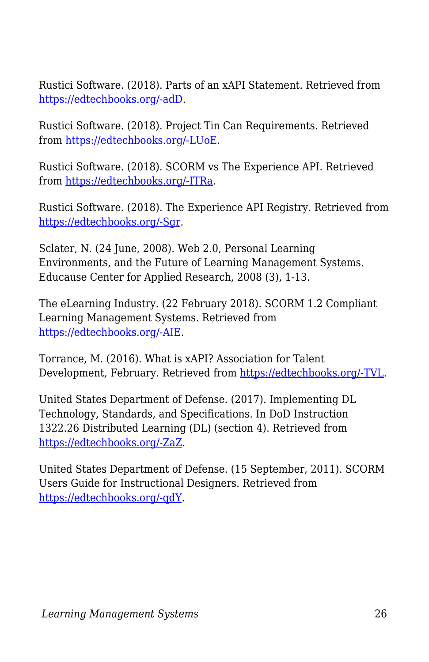Rustici Software. (2018). Parts of an xAPI Statement. Retrieved from [https://edtechbooks.org/-adD.](https://www.google.com/url?q=https://xapi.com/statements-101/&sa=D&ust=1585947361031000)

Rustici Software. (2018). Project Tin Can Requirements. Retrieved from [https://edtechbooks.org/-LUoE](https://www.google.com/url?q=https://xapi.com/project-tin-can-requirements/&sa=D&ust=1585947361031000).

Rustici Software. (2018). SCORM vs The Experience API. Retrieved from [https://edtechbooks.org/-ITRa.](https://www.google.com/url?q=https://xapi.com/scorm-vs-the-experience-api-xapi/&sa=D&ust=1585947361032000)

Rustici Software. (2018). The Experience API Registry. Retrieved from [https://edtechbooks.org/-Sgr.](https://www.google.com/url?q=https://registry.tincanapi.com&sa=D&ust=1585947361033000)

Sclater, N. (24 June, 2008). Web 2.0, Personal Learning Environments, and the Future of Learning Management Systems. Educause Center for Applied Research, 2008 (3), 1-13.

The eLearning Industry. (22 February 2018). SCORM 1.2 Compliant Learning Management Systems. Retrieved from [https://edtechbooks.org/-AIE](https://www.google.com/url?q=https://elearningindustry.com/directory/software-categories/learning-management-systems/compliance/scorm-12&sa=D&ust=1585947361034000).

Torrance, M. (2016). What is xAPI? Association for Talent Development, February. Retrieved from [https://edtechbooks.org/-TVL](https://www.google.com/url?q=https://www.td.org/magazines/what-is-xapi&sa=D&ust=1585947361034000).

United States Department of Defense. (2017). Implementing DL Technology, Standards, and Specifications. In DoD Instruction 1322.26 Distributed Learning (DL) (section 4). Retrieved from [https://edtechbooks.org/-ZaZ](https://www.google.com/url?q=http://www.esd.whs.mil/Portals/54/Documents/DD/issuances/dodi/132226_dodi_2017.pdf?ver%3D2017-10-05-073235-400&sa=D&ust=1585947361035000).

United States Department of Defense. (15 September, 2011). SCORM Users Guide for Instructional Designers. Retrieved from [https://edtechbooks.org/-qdY.](https://www.google.com/url?q=https://www.adlnet.gov/public/uploads/SCORM_Users_Guide_for_ISDs.pdf&sa=D&ust=1585947361036000)